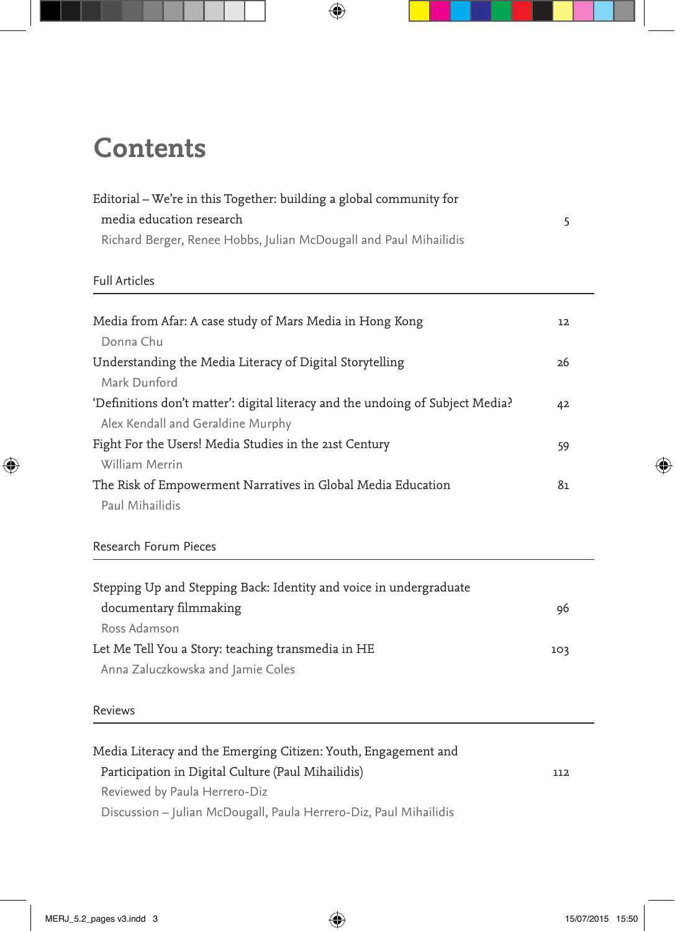## **Contents**

| Editorial – We're in this Together: building a global community for<br>media education research<br>Richard Berger, Renee Hobbs, Julian McDougall and Paul Mihailidis | 5  |
|----------------------------------------------------------------------------------------------------------------------------------------------------------------------|----|
| <b>Full Articles</b>                                                                                                                                                 |    |
| Media from Afar: A case study of Mars Media in Hong Kong<br>Donna Chu                                                                                                | 12 |
| Understanding the Media Literacy of Digital Storytelling<br>Mark Dunford                                                                                             | 26 |
| 'Definitions don't matter': digital literacy and the undoing of Subject Media?<br>Alex Kendall and Geraldine Murphy                                                  | 42 |
| Fight For the Users! Media Studies in the 21st Century<br>William Merrin                                                                                             | 59 |
| The Risk of Empowerment Narratives in Global Media Education<br>Paul Mihailidis                                                                                      | 81 |

## Research Forum Pieces

| Stepping Up and Stepping Back: Identity and voice in undergraduate |     |
|--------------------------------------------------------------------|-----|
| documentary filmmaking                                             | 96  |
| Ross Adamson                                                       |     |
| Let Me Tell You a Story: teaching transmedia in HE                 | 103 |
| Anna Zaluczkowska and Jamie Coles                                  |     |

## Reviews

| Media Literacy and the Emerging Citizen: Youth, Engagement and    |     |
|-------------------------------------------------------------------|-----|
| Participation in Digital Culture (Paul Mihailidis)                | 112 |
| Reviewed by Paula Herrero-Diz                                     |     |
| Discussion - Julian McDougall, Paula Herrero-Diz, Paul Mihailidis |     |